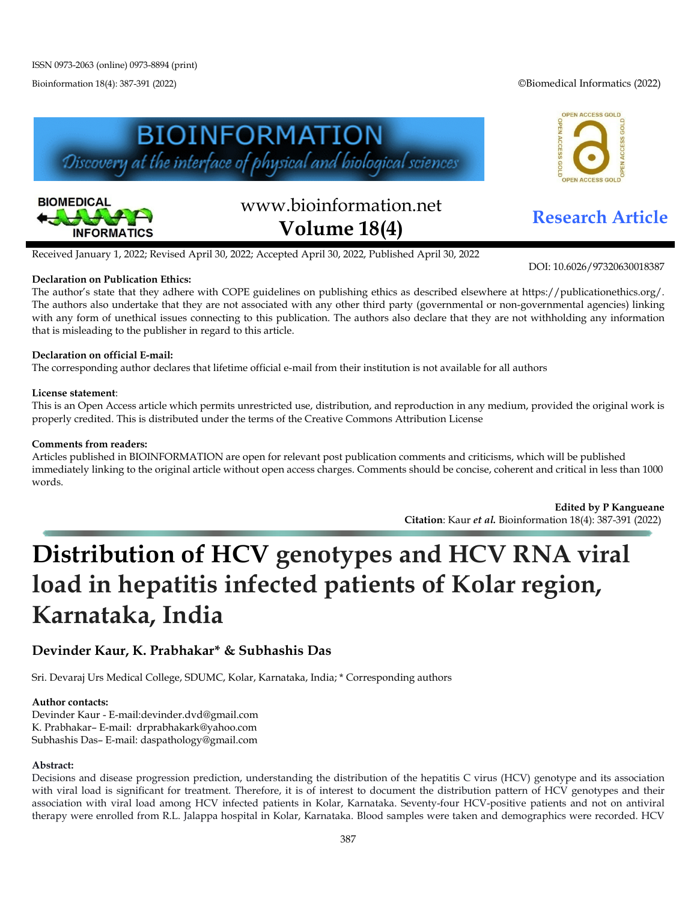Bioinformation 18(4): 387-391 (2022) ©Biomedical Informatics (2022)







# www.bioinformation.net **Research Article Volume 18(4)**

Received January 1, 2022; Revised April 30, 2022; Accepted April 30, 2022, Published April 30, 2022

#### **Declaration on Publication Ethics:**

DOI: 10.6026/97320630018387

The author's state that they adhere with COPE guidelines on publishing ethics as described elsewhere at https://publicationethics.org/. The authors also undertake that they are not associated with any other third party (governmental or non-governmental agencies) linking with any form of unethical issues connecting to this publication. The authors also declare that they are not withholding any information that is misleading to the publisher in regard to this article.

#### **Declaration on official E-mail:**

The corresponding author declares that lifetime official e-mail from their institution is not available for all authors

#### **License statement**:

This is an Open Access article which permits unrestricted use, distribution, and reproduction in any medium, provided the original work is properly credited. This is distributed under the terms of the Creative Commons Attribution License

#### **Comments from readers:**

Articles published in BIOINFORMATION are open for relevant post publication comments and criticisms, which will be published immediately linking to the original article without open access charges. Comments should be concise, coherent and critical in less than 1000 words.

> **Edited by P Kangueane Citation**: Kaur *et al.* Bioinformation 18(4): 387-391 (2022)

## **Distribution of HCV genotypes and HCV RNA viral load in hepatitis infected patients of Kolar region, Karnataka, India**

### **Devinder Kaur, K. Prabhakar\* & Subhashis Das**

Sri. Devaraj Urs Medical College, SDUMC, Kolar, Karnataka, India; \* Corresponding authors

#### **Author contacts:**

Devinder Kaur - E-mail:devinder.dvd@gmail.com K. Prabhakar– E-mail: drprabhakark@yahoo.com Subhashis Das– E-mail: daspathology@gmail.com

#### **Abstract:**

Decisions and disease progression prediction, understanding the distribution of the hepatitis C virus (HCV) genotype and its association with viral load is significant for treatment. Therefore, it is of interest to document the distribution pattern of HCV genotypes and their association with viral load among HCV infected patients in Kolar, Karnataka. Seventy-four HCV-positive patients and not on antiviral therapy were enrolled from R.L. Jalappa hospital in Kolar, Karnataka. Blood samples were taken and demographics were recorded. HCV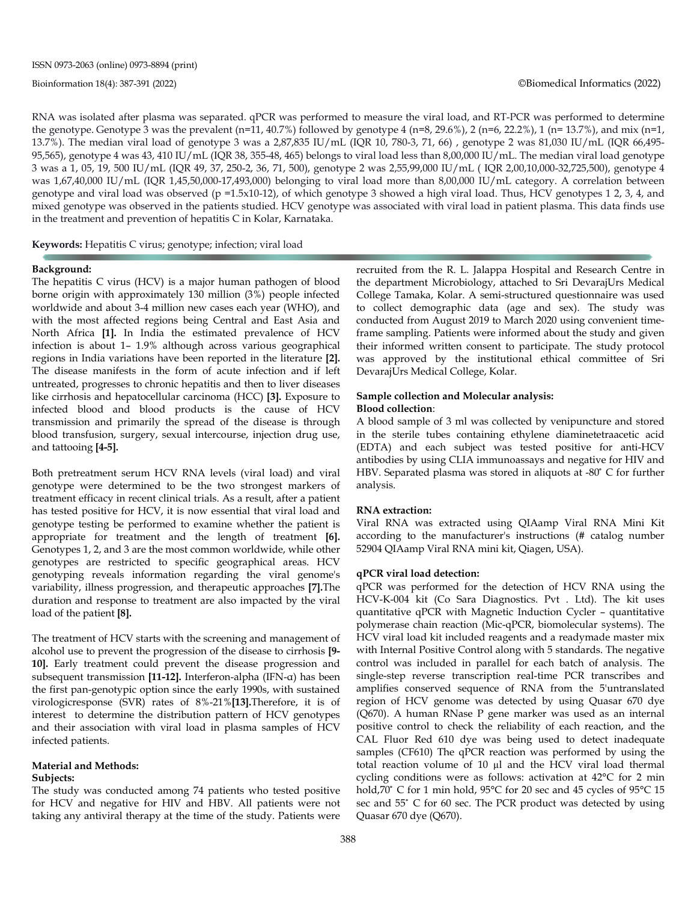RNA was isolated after plasma was separated. qPCR was performed to measure the viral load, and RT-PCR was performed to determine the genotype. Genotype 3 was the prevalent (n=11, 40.7%) followed by genotype 4 (n=8, 29.6%), 2 (n=6, 22.2%), 1 (n= 13.7%), and mix (n=1, 13.7%). The median viral load of genotype 3 was a 2,87,835 IU/mL (IQR 10, 780-3, 71, 66) , genotype 2 was 81,030 IU/mL (IQR 66,495- 95,565), genotype 4 was 43, 410 IU/mL (IQR 38, 355-48, 465) belongs to viral load less than 8,00,000 IU/mL. The median viral load genotype 3 was a 1, 05, 19, 500 IU/mL (IQR 49, 37, 250-2, 36, 71, 500), genotype 2 was 2,55,99,000 IU/mL ( IQR 2,00,10,000-32,725,500), genotype 4 was 1,67,40,000 IU/mL (IQR 1,45,50,000-17,493,000) belonging to viral load more than 8,00,000 IU/mL category. A correlation between genotype and viral load was observed (p =1.5x10-12), of which genotype 3 showed a high viral load. Thus, HCV genotypes 1 2, 3, 4, and mixed genotype was observed in the patients studied. HCV genotype was associated with viral load in patient plasma. This data finds use in the treatment and prevention of hepatitis C in Kolar, Karnataka.

**Keywords:** Hepatitis C virus; genotype; infection; viral load

#### **Background:**

The hepatitis C virus (HCV) is a major human pathogen of blood borne origin with approximately 130 million (3%) people infected worldwide and about 3-4 million new cases each year (WHO), and with the most affected regions being Central and East Asia and North Africa **[1].** In India the estimated prevalence of HCV infection is about 1– 1.9% although across various geographical regions in India variations have been reported in the literature **[2].** The disease manifests in the form of acute infection and if left untreated, progresses to chronic hepatitis and then to liver diseases like cirrhosis and hepatocellular carcinoma (HCC) **[3].** Exposure to infected blood and blood products is the cause of HCV transmission and primarily the spread of the disease is through blood transfusion, surgery, sexual intercourse, injection drug use, and tattooing **[4-5].**

Both pretreatment serum HCV RNA levels (viral load) and viral genotype were determined to be the two strongest markers of treatment efficacy in recent clinical trials. As a result, after a patient has tested positive for HCV, it is now essential that viral load and genotype testing be performed to examine whether the patient is appropriate for treatment and the length of treatment **[6].** Genotypes 1, 2, and 3 are the most common worldwide, while other genotypes are restricted to specific geographical areas. HCV genotyping reveals information regarding the viral genome's variability, illness progression, and therapeutic approaches **[7].**The duration and response to treatment are also impacted by the viral load of the patient **[8].**

The treatment of HCV starts with the screening and management of alcohol use to prevent the progression of the disease to cirrhosis **[9- 10].** Early treatment could prevent the disease progression and subsequent transmission **[11-12].** Interferon-alpha (IFN-α) has been the first pan-genotypic option since the early 1990s, with sustained virologicresponse (SVR) rates of 8%-21%**[13].**Therefore, it is of interest to determine the distribution pattern of HCV genotypes and their association with viral load in plasma samples of HCV infected patients.

#### **Material and Methods:**

#### **Subjects:**

The study was conducted among 74 patients who tested positive for HCV and negative for HIV and HBV. All patients were not taking any antiviral therapy at the time of the study. Patients were recruited from the R. L. Jalappa Hospital and Research Centre in the department Microbiology, attached to Sri DevarajUrs Medical College Tamaka, Kolar. A semi-structured questionnaire was used to collect demographic data (age and sex). The study was conducted from August 2019 to March 2020 using convenient timeframe sampling. Patients were informed about the study and given their informed written consent to participate. The study protocol was approved by the institutional ethical committee of Sri DevarajUrs Medical College, Kolar.

#### **Sample collection and Molecular analysis: Blood collection**:

A blood sample of 3 ml was collected by venipuncture and stored in the sterile tubes containing ethylene diaminetetraacetic acid (EDTA) and each subject was tested positive for anti-HCV antibodies by using CLIA immunoassays and negative for HIV and HBV. Separated plasma was stored in aliquots at -80° C for further analysis.

#### **RNA extraction:**

Viral RNA was extracted using QIAamp Viral RNA Mini Kit according to the manufacturer's instructions (# catalog number 52904 QIAamp Viral RNA mini kit, Qiagen, USA).

#### **qPCR viral load detection:**

qPCR was performed for the detection of HCV RNA using the HCV-K-004 kit (Co Sara Diagnostics. Pvt . Ltd). The kit uses quantitative qPCR with Magnetic Induction Cycler – quantitative polymerase chain reaction (Mic-qPCR, biomolecular systems). The HCV viral load kit included reagents and a readymade master mix with Internal Positive Control along with 5 standards. The negative control was included in parallel for each batch of analysis. The single-step reverse transcription real-time PCR transcribes and amplifies conserved sequence of RNA from the 5'untranslated region of HCV genome was detected by using Quasar 670 dye (Q670). A human RNase P gene marker was used as an internal positive control to check the reliability of each reaction, and the CAL Fluor Red 610 dye was being used to detect inadequate samples (CF610) The qPCR reaction was performed by using the total reaction volume of 10 µl and the HCV viral load thermal cycling conditions were as follows: activation at 42°C for 2 min hold,70° C for 1 min hold, 95°C for 20 sec and 45 cycles of 95°C 15 sec and 55° C for 60 sec. The PCR product was detected by using Quasar 670 dye (Q670).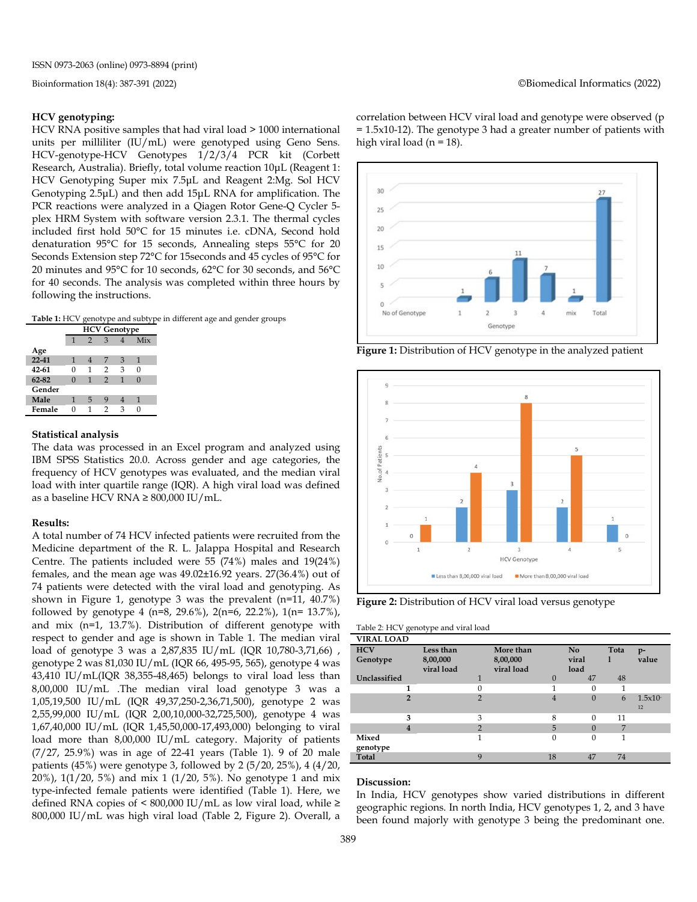#### **HCV genotyping:**

HCV RNA positive samples that had viral load > 1000 international units per milliliter (IU/mL) were genotyped using Geno Sens*.*  HCV-genotype-HCV Genotypes 1/2/3/4 PCR kit (Corbett Research, Australia). Briefly, total volume reaction 10μL (Reagent 1: HCV Genotyping Super mix 7.5μL and Reagent 2:Mg. Sol HCV Genotyping 2.5μL) and then add 15μL RNA for amplification. The PCR reactions were analyzed in a Qiagen Rotor Gene-Q Cycler 5 plex HRM System with software version 2.3.1. The thermal cycles included first hold 50°C for 15 minutes i.e. cDNA, Second hold denaturation 95°C for 15 seconds, Annealing steps 55°C for 20 Seconds Extension step 72°C for 15seconds and 45 cycles of 95°C for 20 minutes and 95°C for 10 seconds, 62°C for 30 seconds, and 56°C for 40 seconds. The analysis was completed within three hours by following the instructions.

**Table 1:** HCV genotype and subtype in different age and gender groups

|           | <b>HCV Genotype</b> |               |               |   |          |  |  |  |  |
|-----------|---------------------|---------------|---------------|---|----------|--|--|--|--|
|           | 1                   | $\mathcal{P}$ | 3             |   | Mix      |  |  |  |  |
| Age       |                     |               |               |   |          |  |  |  |  |
| $22 - 41$ | 1                   |               | 7             | 3 | 1        |  |  |  |  |
| 42-61     | 0                   | 1             | 2             | 3 | 0        |  |  |  |  |
| 62-82     | 0                   | 1             | $\mathcal{P}$ | 1 | $\Omega$ |  |  |  |  |
| Gender    |                     |               |               |   |          |  |  |  |  |
| Male      | 1                   | 5             | 9             |   | 1        |  |  |  |  |
| Female    | ∩                   |               | 2             | ٩ |          |  |  |  |  |

#### **Statistical analysis**

The data was processed in an Excel program and analyzed using IBM SPSS Statistics 20.0. Across gender and age categories, the frequency of HCV genotypes was evaluated, and the median viral load with inter quartile range (IQR). A high viral load was defined as a baseline HCV RNA  $\geq 800,000$  IU/mL.

#### **Results:**

A total number of 74 HCV infected patients were recruited from the Medicine department of the R. L. Jalappa Hospital and Research Centre. The patients included were 55 (74%) males and 19(24%) females, and the mean age was 49.02±16.92 years. 27(36.4%) out of 74 patients were detected with the viral load and genotyping. As shown in Figure 1, genotype 3 was the prevalent (n=11, 40.7%) followed by genotype 4 (n=8, 29.6%), 2(n=6, 22.2%), 1(n= 13.7%), and mix (n=1, 13.7%). Distribution of different genotype with respect to gender and age is shown in Table 1. The median viral load of genotype 3 was a 2,87,835 IU/mL (IQR 10,780-3,71,66) , genotype 2 was 81,030 IU/mL (IQR 66, 495-95, 565), genotype 4 was 43,410 IU/mL(IQR 38,355-48,465) belongs to viral load less than 8,00,000 IU/mL .The median viral load genotype 3 was a 1,05,19,500 IU/mL (IQR 49,37,250-2,36,71,500), genotype 2 was 2,55,99,000 IU/mL (IQR 2,00,10,000-32,725,500), genotype 4 was 1,67,40,000 IU/mL (IQR 1,45,50,000-17,493,000) belonging to viral load more than 8,00,000 IU/mL category. Majority of patients (7/27, 25.9%) was in age of 22-41 years (Table 1). 9 of 20 male patients (45%) were genotype 3, followed by 2 (5/20, 25%), 4 (4/20, 20%), 1(1/20, 5%) and mix 1 (1/20, 5%). No genotype 1 and mix type-infected female patients were identified (Table 1). Here, we defined RNA copies of < 800,000 IU/mL as low viral load, while ≥ 800,000 IU/mL was high viral load (Table 2, Figure 2). Overall, a correlation between HCV viral load and genotype were observed (p = 1.5x10-12). The genotype 3 had a greater number of patients with high viral load ( $n = 18$ ).



**Figure 1:** Distribution of HCV genotype in the analyzed patient



**Figure 2:** Distribution of HCV viral load versus genotype

Table 2: HCV genotype and viral load

| <b>VIRAL LOAD</b>      |                                     |                |                                     |          |                     |      |               |
|------------------------|-------------------------------------|----------------|-------------------------------------|----------|---------------------|------|---------------|
| <b>HCV</b><br>Genotype | Less than<br>8,00,000<br>viral load |                | More than<br>8,00,000<br>viral load |          | No<br>viral<br>load | Tota | $p-$<br>value |
| Unclassified           |                                     | $\mathbf{1}$   |                                     | $\Omega$ | 47                  | 48   |               |
| 1                      |                                     | 0              |                                     | 1        | 0                   | 1    |               |
| $\overline{2}$         |                                     | $\overline{2}$ |                                     | 4        | 0                   | 6    | 1.5x10<br>12  |
| 3                      |                                     | 3              |                                     | 8        | $\Omega$            | 11   |               |
| 4                      |                                     | $\overline{2}$ |                                     | 5        | $\Omega$            | 7    |               |
| Mixed<br>genotype      |                                     | 1              |                                     | $\Omega$ | $\Omega$            | 1    |               |
| Total                  |                                     | $\mathbf{Q}$   | 18                                  |          | 47                  | 74   |               |

#### **Discussion:**

In India, HCV genotypes show varied distributions in different geographic regions. In north India, HCV genotypes 1, 2, and 3 have been found majorly with genotype 3 being the predominant one.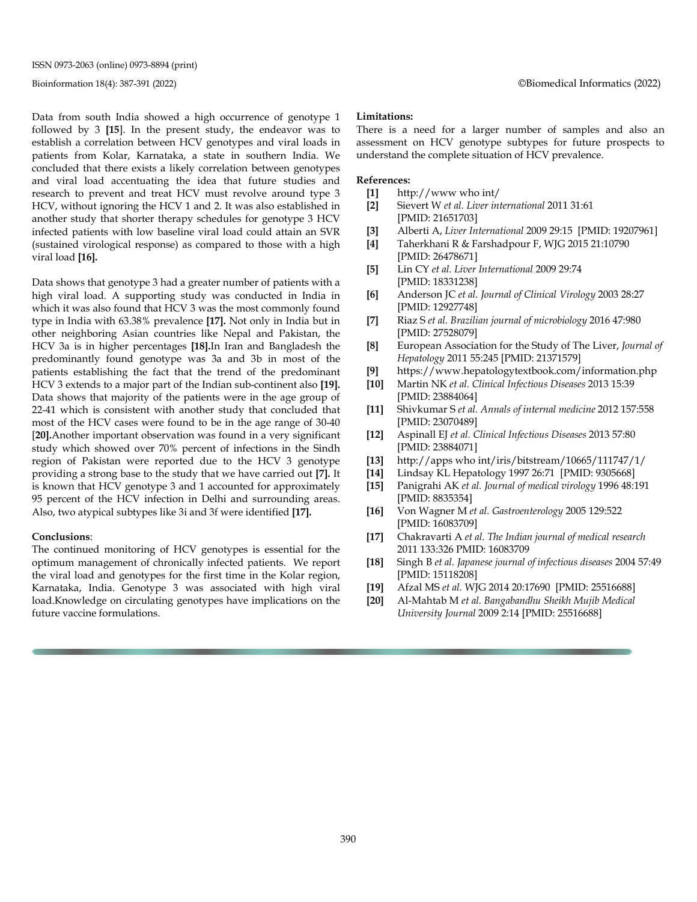Data from south India showed a high occurrence of genotype 1 followed by 3 **[15**]. In the present study, the endeavor was to establish a correlation between HCV genotypes and viral loads in patients from Kolar, Karnataka, a state in southern India. We concluded that there exists a likely correlation between genotypes and viral load accentuating the idea that future studies and research to prevent and treat HCV must revolve around type 3 HCV, without ignoring the HCV 1 and 2. It was also established in another study that shorter therapy schedules for genotype 3 HCV infected patients with low baseline viral load could attain an SVR (sustained virological response) as compared to those with a high viral load **[16].**

Data shows that genotype 3 had a greater number of patients with a high viral load. A supporting study was conducted in India in which it was also found that HCV 3 was the most commonly found type in India with 63.38% prevalence **[17].** Not only in India but in other neighboring Asian countries like Nepal and Pakistan, the HCV 3a is in higher percentages **[18].**In Iran and Bangladesh the predominantly found genotype was 3a and 3b in most of the patients establishing the fact that the trend of the predominant HCV 3 extends to a major part of the Indian sub-continent also **[19].** Data shows that majority of the patients were in the age group of 22-41 which is consistent with another study that concluded that most of the HCV cases were found to be in the age range of 30-40 [**20].**Another important observation was found in a very significant study which showed over 70% percent of infections in the Sindh region of Pakistan were reported due to the HCV 3 genotype providing a strong base to the study that we have carried out **[7].** It is known that HCV genotype 3 and 1 accounted for approximately 95 percent of the HCV infection in Delhi and surrounding areas. Also, two atypical subtypes like 3i and 3f were identified **[17].**

#### **Conclusions**:

The continued monitoring of HCV genotypes is essential for the optimum management of chronically infected patients. We report the viral load and genotypes for the first time in the Kolar region, Karnataka, India. Genotype 3 was associated with high viral load.Knowledge on circulating genotypes have implications on the future vaccine formulations.

#### **Limitations:**

There is a need for a larger number of samples and also an assessment on HCV genotype subtypes for future prospects to understand the complete situation of HCV prevalence.

#### **References:**

- **[1]** http://www who int/
- **[2]** Sievert W *et al. Liver international* 2011 31:61 [PMID: 21651703]
- **[3]** Alberti A, *Liver International* 2009 29:15 [PMID: 19207961]
- **[4]** Taherkhani R & Farshadpour F, WJG 2015 21:10790 [PMID: 26478671]
- **[5]** Lin CY *et al. Liver International* 2009 29:74 [PMID: 18331238]
- **[6]** Anderson JC *et al. Journal of Clinical Virology* 2003 28:27 [PMID: 12927748]
- **[7]** Riaz S *et al. Brazilian journal of microbiology* 2016 47:980 [PMID: 27528079]
- **[8]** European Association for the Study of The Liver, *Journal of Hepatology* 2011 55:245 [PMID: 21371579]
- [9] https://www.hepatologytextbook.com/information.php<br>[10] Martin NK et al. Clinical Infectious Diseases 2013 15:39 **[10]** Martin NK *et al. Clinical Infectious Diseases* 2013 15:39
- [PMID: 23884064]
- **[11]** Shivkumar S *et al. Annals of internal medicine* 2012 157:558 [PMID: 23070489]
- **[12]** Aspinall EJ *et al. Clinical Infectious Diseases* 2013 57:80 [PMID: 23884071]
- **[13]** http://apps who int/iris/bitstream/10665/111747/1/
- **[14]** Lindsay KL Hepatology 1997 26:71 [PMID: 9305668]
- **[15]** Panigrahi AK *et al. Journal of medical virology* 1996 48:191 [PMID: 8835354]
- **[16]** Von Wagner M *et al. Gastroenterology* 2005 129:522 [PMID: 16083709]
- **[17]** Chakravarti A *et al. The Indian journal of medical research*  2011 133:326 PMID: 16083709
- **[18]** Singh B *et al. Japanese journal of infectious diseases* 2004 57:49 [PMID: 15118208]
- **[19]** Afzal MS *et al.* WJG 2014 20:17690 [PMID: 25516688]
- **[20]** Al-Mahtab M *et al. Bangabandhu Sheikh Mujib Medical University Journal* 2009 2:14 [PMID: 25516688]